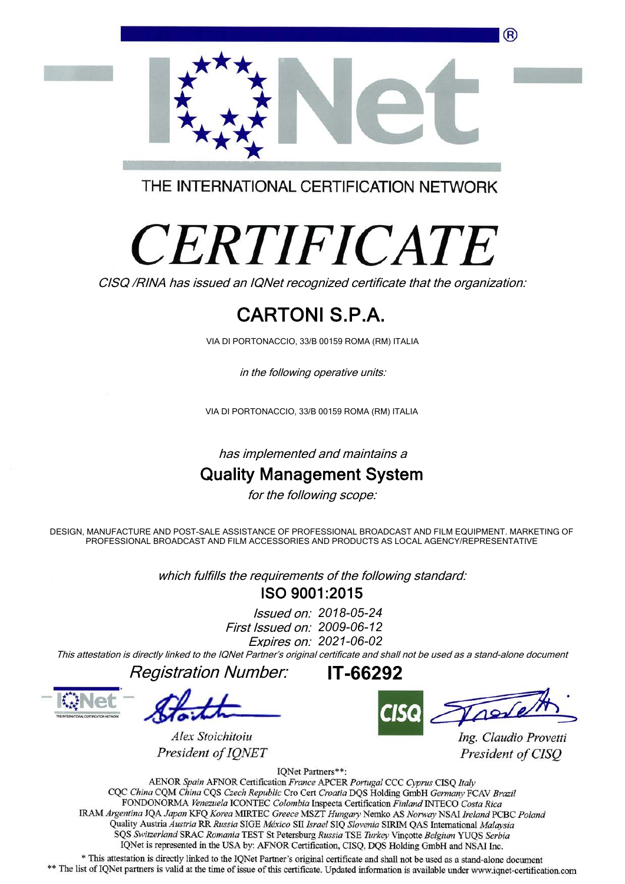

THE INTERNATIONAL CERTIFICATION NETWORK

# *CERTIFICATE*

CISQ /RINA has issued an IQNet recognized certificate that the organization:

# CARTONI S.P.A.

VIA DI PORTONACCIO, 33/B 00159 ROMA (RM) ITALIA

in the following operative units:

VIA DI PORTONACCIO, 33/B 00159 ROMA (RM) ITALIA

has implemented and maintains a

### Quality Management System

for the following scope:

DESIGN, MANUFACTURE AND POST-SALE ASSISTANCE OF PROFESSIONAL BROADCAST AND FILM EQUIPMENT. MARKETING OF PROFESSIONAL BROADCAST AND FILM ACCESSORIES AND PRODUCTS AS LOCAL AGENCY/REPRESENTATIVE

> ISO 9001:2015 which fulfills the requirements of the following standard:

> > First Issued on: 2009-06-12 Issued on: 2018-05-24 Expires on: 2021-06-02

This attestation is directly linked to the IQNet Partner's original certificate and shall not be used as a stand-alone document

Registration Number:

Alex Stoichitoiu

President of IONET

IT-66292

Ing. Claudio Provetti President of CISO

IQNet Partners\*\*:

AENOR Spain AFNOR Certification France APCER Portugal CCC Cyprus CISO Italy CQC China CQM China CQS Czech Republic Cro Cert Croatia DQS Holding GmbH Germany FCAV Brazil FONDONORMA Venezuela ICONTEC Colombia Inspecta Certification Finland INTECO Costa Rica IRAM Argentina JQA Japan KFQ Korea MIRTEC Greece MSZT Hungary Nemko AS Norway NSAI Ireland PCBC Poland Quality Austria Austria RR Russia SIGE México SII Israel SIQ Slovenia SIRIM QAS International Malaysia SQS Switzerland SRAC Romania TEST St Petersburg Russia TSE Turkey Vincotte Belgium YUQS Serbia IQNet is represented in the USA by: AFNOR Certification, CISQ, DQS Holding GmbH and NSAI Inc.

\* This attestation is directly linked to the IQNet Partner's original certificate and shall not be used as a stand-alone document \*\* The list of IQNet partners is valid at the time of issue of this certificate. Updated information is available under www.iqnet-certification.com